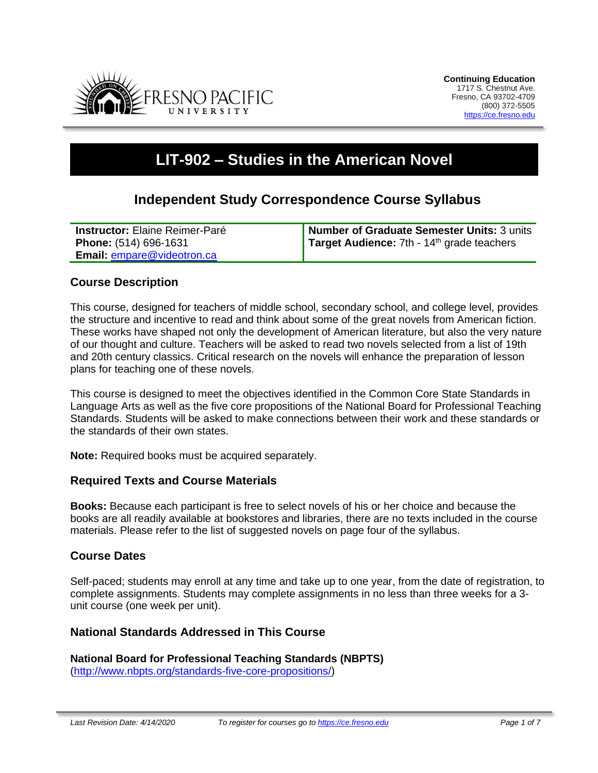

# **LIT-902 – Studies in the American Novel**

# **Independent Study Correspondence Course Syllabus**

| <b>Instructor:</b> Elaine Reimer-Paré | Number of Graduate Semester Units: 3 units          |
|---------------------------------------|-----------------------------------------------------|
| <b>Phone:</b> (514) 696-1631          | <b>Target Audience:</b> 7th - $14th$ grade teachers |
| <b>Email: empare@videotron.ca</b>     |                                                     |

#### **Course Description**

This course, designed for teachers of middle school, secondary school, and college level, provides the structure and incentive to read and think about some of the great novels from American fiction. These works have shaped not only the development of American literature, but also the very nature of our thought and culture. Teachers will be asked to read two novels selected from a list of 19th and 20th century classics. Critical research on the novels will enhance the preparation of lesson plans for teaching one of these novels.

This course is designed to meet the objectives identified in the Common Core State Standards in Language Arts as well as the five core propositions of the National Board for Professional Teaching Standards. Students will be asked to make connections between their work and these standards or the standards of their own states.

**Note:** Required books must be acquired separately.

#### **Required Texts and Course Materials**

**Books:** Because each participant is free to select novels of his or her choice and because the books are all readily available at bookstores and libraries, there are no texts included in the course materials. Please refer to the list of suggested novels on page four of the syllabus.

#### **Course Dates**

Self-paced; students may enroll at any time and take up to one year, from the date of registration, to complete assignments. Students may complete assignments in no less than three weeks for a 3 unit course (one week per unit).

#### **National Standards Addressed in This Course**

**National Board for Professional Teaching Standards (NBPTS)** [\(http://www.nbpts.org/standards-five-core-propositions/\)](http://www.nbpts.org/standards-five-core-propositions/)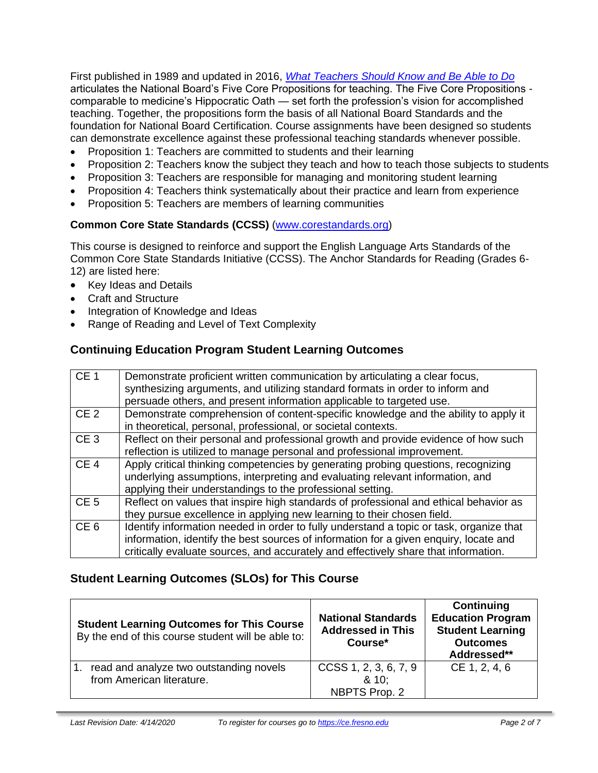First published in 1989 and updated in 2016, *[What Teachers Should Know and Be Able to Do](http://www.accomplishedteacher.org/)* articulates the National Board's Five Core Propositions for teaching. The Five Core Propositions comparable to medicine's Hippocratic Oath — set forth the profession's vision for accomplished teaching. Together, the propositions form the basis of all National Board Standards and the foundation for National Board Certification. Course assignments have been designed so students can demonstrate excellence against these professional teaching standards whenever possible.

- Proposition 1: Teachers are committed to students and their learning
- Proposition 2: Teachers know the subject they teach and how to teach those subjects to students
- Proposition 3: Teachers are responsible for managing and monitoring student learning
- Proposition 4: Teachers think systematically about their practice and learn from experience
- Proposition 5: Teachers are members of learning communities

#### **Common Core State Standards (CCSS)** [\(www.corestandards.org\)](http://www.corestandards.org/)

This course is designed to reinforce and support the English Language Arts Standards of the Common Core State Standards Initiative (CCSS). The Anchor Standards for Reading (Grades 6- 12) are listed here:

- Key Ideas and Details
- Craft and Structure
- Integration of Knowledge and Ideas
- Range of Reading and Level of Text Complexity

## **Continuing Education Program Student Learning Outcomes**

| CE <sub>1</sub> | Demonstrate proficient written communication by articulating a clear focus,<br>synthesizing arguments, and utilizing standard formats in order to inform and<br>persuade others, and present information applicable to targeted use.                                    |
|-----------------|-------------------------------------------------------------------------------------------------------------------------------------------------------------------------------------------------------------------------------------------------------------------------|
| CE <sub>2</sub> | Demonstrate comprehension of content-specific knowledge and the ability to apply it<br>in theoretical, personal, professional, or societal contexts.                                                                                                                    |
| CE <sub>3</sub> | Reflect on their personal and professional growth and provide evidence of how such<br>reflection is utilized to manage personal and professional improvement.                                                                                                           |
| CE <sub>4</sub> | Apply critical thinking competencies by generating probing questions, recognizing<br>underlying assumptions, interpreting and evaluating relevant information, and<br>applying their understandings to the professional setting.                                        |
| CE <sub>5</sub> | Reflect on values that inspire high standards of professional and ethical behavior as<br>they pursue excellence in applying new learning to their chosen field.                                                                                                         |
| CE <sub>6</sub> | Identify information needed in order to fully understand a topic or task, organize that<br>information, identify the best sources of information for a given enquiry, locate and<br>critically evaluate sources, and accurately and effectively share that information. |

## **Student Learning Outcomes (SLOs) for This Course**

| <b>Student Learning Outcomes for This Course</b><br>By the end of this course student will be able to: | <b>National Standards</b><br><b>Addressed in This</b><br>Course* | Continuing<br><b>Education Program</b><br><b>Student Learning</b><br><b>Outcomes</b><br>Addressed** |
|--------------------------------------------------------------------------------------------------------|------------------------------------------------------------------|-----------------------------------------------------------------------------------------------------|
| read and analyze two outstanding novels<br>$\overline{1}$ .<br>from American literature.               | $CCSS$ 1, 2, 3, 6, 7, 9<br>8.10:<br>NBPTS Prop. 2                | CE 1, 2, 4, 6                                                                                       |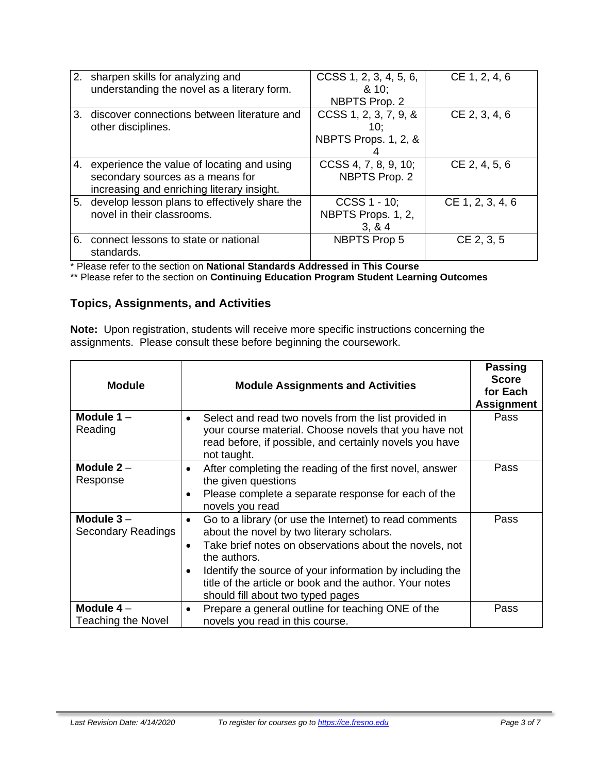|    | 2. sharpen skills for analyzing and<br>understanding the novel as a literary form.                                              | CCSS 1, 2, 3, 4, 5, 6,<br>810:<br>NBPTS Prop. 2      | CE 1, 2, 4, 6    |
|----|---------------------------------------------------------------------------------------------------------------------------------|------------------------------------------------------|------------------|
| 3. | discover connections between literature and<br>other disciplines.                                                               | CCSS 1, 2, 3, 7, 9, &<br>10:<br>NBPTS Props. 1, 2, & | CE 2, 3, 4, 6    |
|    | 4. experience the value of locating and using<br>secondary sources as a means for<br>increasing and enriching literary insight. | CCSS 4, 7, 8, 9, 10;<br>NBPTS Prop. 2                | CE 2, 4, 5, 6    |
|    | 5. develop lesson plans to effectively share the<br>novel in their classrooms.                                                  | CCSS 1 - 10;<br>NBPTS Props. 1, 2,<br>3, 8, 4        | CE 1, 2, 3, 4, 6 |
| 6. | connect lessons to state or national<br>standards.                                                                              | <b>NBPTS Prop 5</b>                                  | CE 2, 3, 5       |

\* Please refer to the section on **National Standards Addressed in This Course**

\*\* Please refer to the section on **Continuing Education Program Student Learning Outcomes**

# **Topics, Assignments, and Activities**

**Note:** Upon registration, students will receive more specific instructions concerning the assignments. Please consult these before beginning the coursework.

| <b>Module</b>                            | <b>Module Assignments and Activities</b>                                                                                                                                                                                                                                                                                                                            | <b>Passing</b><br><b>Score</b><br>for Each<br><b>Assignment</b> |
|------------------------------------------|---------------------------------------------------------------------------------------------------------------------------------------------------------------------------------------------------------------------------------------------------------------------------------------------------------------------------------------------------------------------|-----------------------------------------------------------------|
| Module $1 -$<br>Reading                  | Select and read two novels from the list provided in<br>$\bullet$<br>your course material. Choose novels that you have not<br>read before, if possible, and certainly novels you have<br>not taught.                                                                                                                                                                | Pass                                                            |
| Module $2 -$<br>Response                 | After completing the reading of the first novel, answer<br>٠<br>the given questions<br>Please complete a separate response for each of the<br>$\bullet$<br>novels you read                                                                                                                                                                                          | Pass                                                            |
| Module $3-$<br>Secondary Readings        | Go to a library (or use the Internet) to read comments<br>$\bullet$<br>about the novel by two literary scholars.<br>Take brief notes on observations about the novels, not<br>$\bullet$<br>the authors.<br>Identify the source of your information by including the<br>title of the article or book and the author. Your notes<br>should fill about two typed pages | Pass                                                            |
| Module $4-$<br><b>Teaching the Novel</b> | Prepare a general outline for teaching ONE of the<br>٠<br>novels you read in this course.                                                                                                                                                                                                                                                                           | Pass                                                            |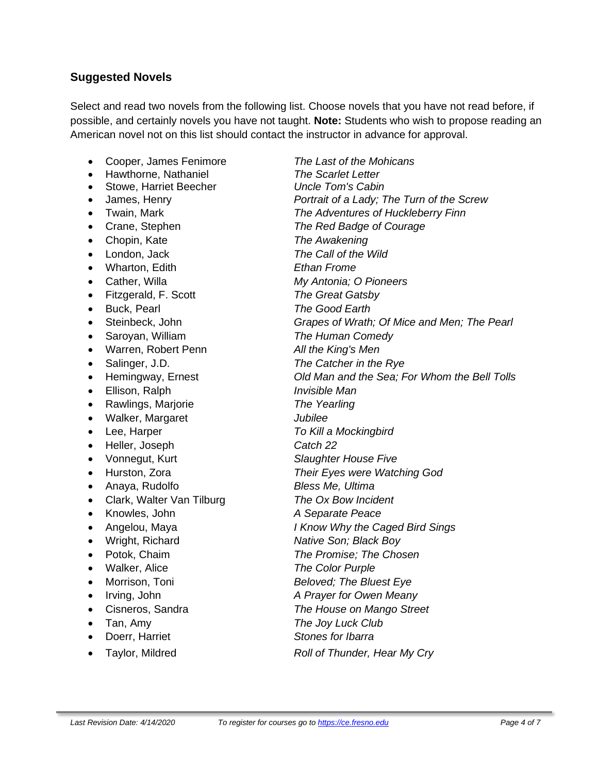## **Suggested Novels**

Select and read two novels from the following list. Choose novels that you have not read before, if possible, and certainly novels you have not taught. **Note:** Students who wish to propose reading an American novel not on this list should contact the instructor in advance for approval.

- Cooper, James Fenimore *The Last of the Mohicans*
- Hawthorne, Nathaniel *The Scarlet Letter*
- Stowe, Harriet Beecher *Uncle Tom's Cabin*
- 
- 
- 
- Chopin, Kate *The Awakening*
- 
- Wharton, Edith *Ethan Frome*
- 
- Fitzgerald, F. Scott *The Great Gatsby*
- 
- 
- 
- Warren, Robert Penn *All the King's Men*
- 
- 
- Ellison, Ralph *Invisible Man*
- Rawlings, Marjorie *The Yearling*
- Walker, Margaret *Jubilee*
- 
- Heller, Joseph *Catch 22*
- 
- 
- Anaya, Rudolfo *Bless Me, Ultima*
- Clark, Walter Van Tilburg *The Ox Bow Incident*
- Knowles, John *A Separate Peace*
- 
- 
- 
- Walker, Alice *The Color Purple*
- 
- 
- 
- 
- Doerr, Harriet *Stones for Ibarra*
- 

• James, Henry *Portrait of a Lady; The Turn of the Screw* • Twain, Mark *The Adventures of Huckleberry Finn* • Crane, Stephen *The Red Badge of Courage* • London, Jack *The Call of the Wild* • Cather, Willa *My Antonia; O Pioneers* • Buck, Pearl *The Good Earth* • Steinbeck, John *Grapes of Wrath; Of Mice and Men; The Pearl* • Saroyan, William *The Human Comedy* • Salinger, J.D. *The Catcher in the Rye* • Hemingway, Ernest *Old Man and the Sea; For Whom the Bell Tolls* • Lee, Harper *To Kill a Mockingbird* • Vonnegut, Kurt *Slaughter House Five* • Hurston, Zora *Their Eyes were Watching God* • Angelou, Maya *I Know Why the Caged Bird Sings* • Wright, Richard *Native Son; Black Boy* • Potok, Chaim *The Promise; The Chosen* • Morrison, Toni *Beloved; The Bluest Eye* • Irving, John *A Prayer for Owen Meany* • Cisneros, Sandra *The House on Mango Street* • Tan, Amy *The Joy Luck Club*

• Taylor, Mildred *Roll of Thunder, Hear My Cry*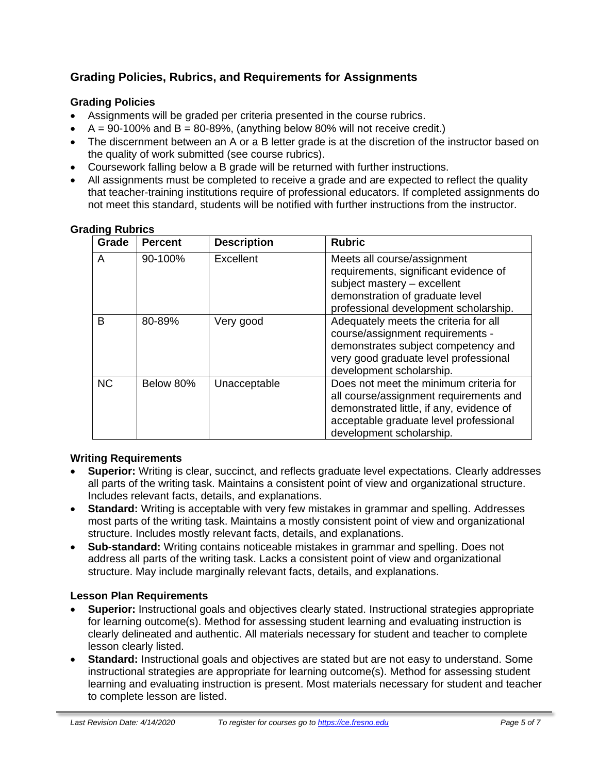# **Grading Policies, Rubrics, and Requirements for Assignments**

#### **Grading Policies**

- Assignments will be graded per criteria presented in the course rubrics.
- $A = 90-100\%$  and  $B = 80-89\%$ , (anything below 80% will not receive credit.)
- The discernment between an A or a B letter grade is at the discretion of the instructor based on the quality of work submitted (see course rubrics).
- Coursework falling below a B grade will be returned with further instructions.
- All assignments must be completed to receive a grade and are expected to reflect the quality that teacher-training institutions require of professional educators. If completed assignments do not meet this standard, students will be notified with further instructions from the instructor.

| Grade     | <b>Percent</b> | <b>Description</b> | <b>Rubric</b>                                                                                                                                                                                      |
|-----------|----------------|--------------------|----------------------------------------------------------------------------------------------------------------------------------------------------------------------------------------------------|
| A         | 90-100%        | Excellent          | Meets all course/assignment<br>requirements, significant evidence of<br>subject mastery - excellent<br>demonstration of graduate level<br>professional development scholarship.                    |
| B         | 80-89%         | Very good          | Adequately meets the criteria for all<br>course/assignment requirements -<br>demonstrates subject competency and<br>very good graduate level professional<br>development scholarship.              |
| <b>NC</b> | Below 80%      | Unacceptable       | Does not meet the minimum criteria for<br>all course/assignment requirements and<br>demonstrated little, if any, evidence of<br>acceptable graduate level professional<br>development scholarship. |

#### **Writing Requirements**

- **Superior:** Writing is clear, succinct, and reflects graduate level expectations. Clearly addresses all parts of the writing task. Maintains a consistent point of view and organizational structure. Includes relevant facts, details, and explanations.
- **Standard:** Writing is acceptable with very few mistakes in grammar and spelling. Addresses most parts of the writing task. Maintains a mostly consistent point of view and organizational structure. Includes mostly relevant facts, details, and explanations.
- **Sub-standard:** Writing contains noticeable mistakes in grammar and spelling. Does not address all parts of the writing task. Lacks a consistent point of view and organizational structure. May include marginally relevant facts, details, and explanations.

#### **Lesson Plan Requirements**

- **Superior:** Instructional goals and objectives clearly stated. Instructional strategies appropriate for learning outcome(s). Method for assessing student learning and evaluating instruction is clearly delineated and authentic. All materials necessary for student and teacher to complete lesson clearly listed.
- **Standard:** Instructional goals and objectives are stated but are not easy to understand. Some instructional strategies are appropriate for learning outcome(s). Method for assessing student learning and evaluating instruction is present. Most materials necessary for student and teacher to complete lesson are listed.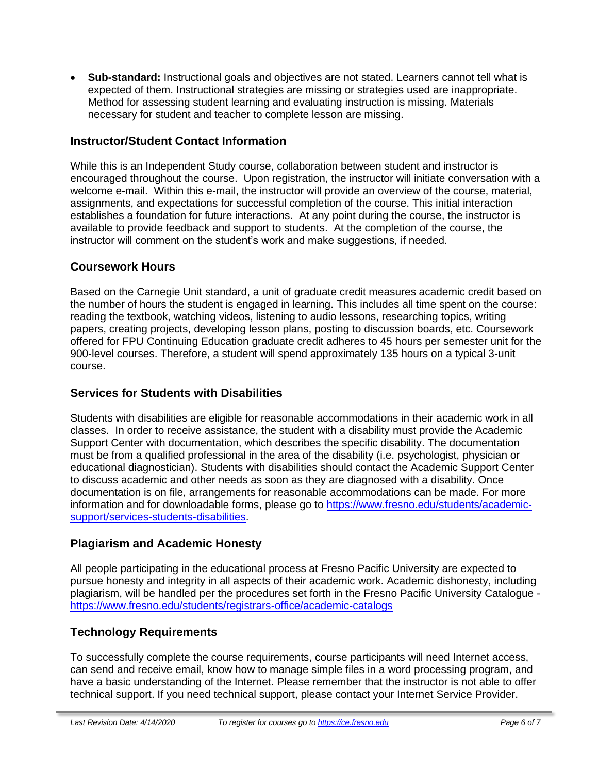• **Sub-standard:** Instructional goals and objectives are not stated. Learners cannot tell what is expected of them. Instructional strategies are missing or strategies used are inappropriate. Method for assessing student learning and evaluating instruction is missing. Materials necessary for student and teacher to complete lesson are missing.

## **Instructor/Student Contact Information**

While this is an Independent Study course, collaboration between student and instructor is encouraged throughout the course. Upon registration, the instructor will initiate conversation with a welcome e-mail. Within this e-mail, the instructor will provide an overview of the course, material, assignments, and expectations for successful completion of the course. This initial interaction establishes a foundation for future interactions. At any point during the course, the instructor is available to provide feedback and support to students. At the completion of the course, the instructor will comment on the student's work and make suggestions, if needed.

## **Coursework Hours**

Based on the Carnegie Unit standard, a unit of graduate credit measures academic credit based on the number of hours the student is engaged in learning. This includes all time spent on the course: reading the textbook, watching videos, listening to audio lessons, researching topics, writing papers, creating projects, developing lesson plans, posting to discussion boards, etc. Coursework offered for FPU Continuing Education graduate credit adheres to 45 hours per semester unit for the 900-level courses. Therefore, a student will spend approximately 135 hours on a typical 3-unit course.

## **Services for Students with Disabilities**

Students with disabilities are eligible for reasonable accommodations in their academic work in all classes. In order to receive assistance, the student with a disability must provide the Academic Support Center with documentation, which describes the specific disability. The documentation must be from a qualified professional in the area of the disability (i.e. psychologist, physician or educational diagnostician). Students with disabilities should contact the Academic Support Center to discuss academic and other needs as soon as they are diagnosed with a disability. Once documentation is on file, arrangements for reasonable accommodations can be made. For more information and for downloadable forms, please go to [https://www.fresno.edu/students/academic](https://www.fresno.edu/students/academic-support/services-students-disabilities)[support/services-students-disabilities.](https://www.fresno.edu/students/academic-support/services-students-disabilities)

# **Plagiarism and Academic Honesty**

All people participating in the educational process at Fresno Pacific University are expected to pursue honesty and integrity in all aspects of their academic work. Academic dishonesty, including plagiarism, will be handled per the procedures set forth in the Fresno Pacific University Catalogue <https://www.fresno.edu/students/registrars-office/academic-catalogs>

# **Technology Requirements**

To successfully complete the course requirements, course participants will need Internet access, can send and receive email, know how to manage simple files in a word processing program, and have a basic understanding of the Internet. Please remember that the instructor is not able to offer technical support. If you need technical support, please contact your Internet Service Provider.